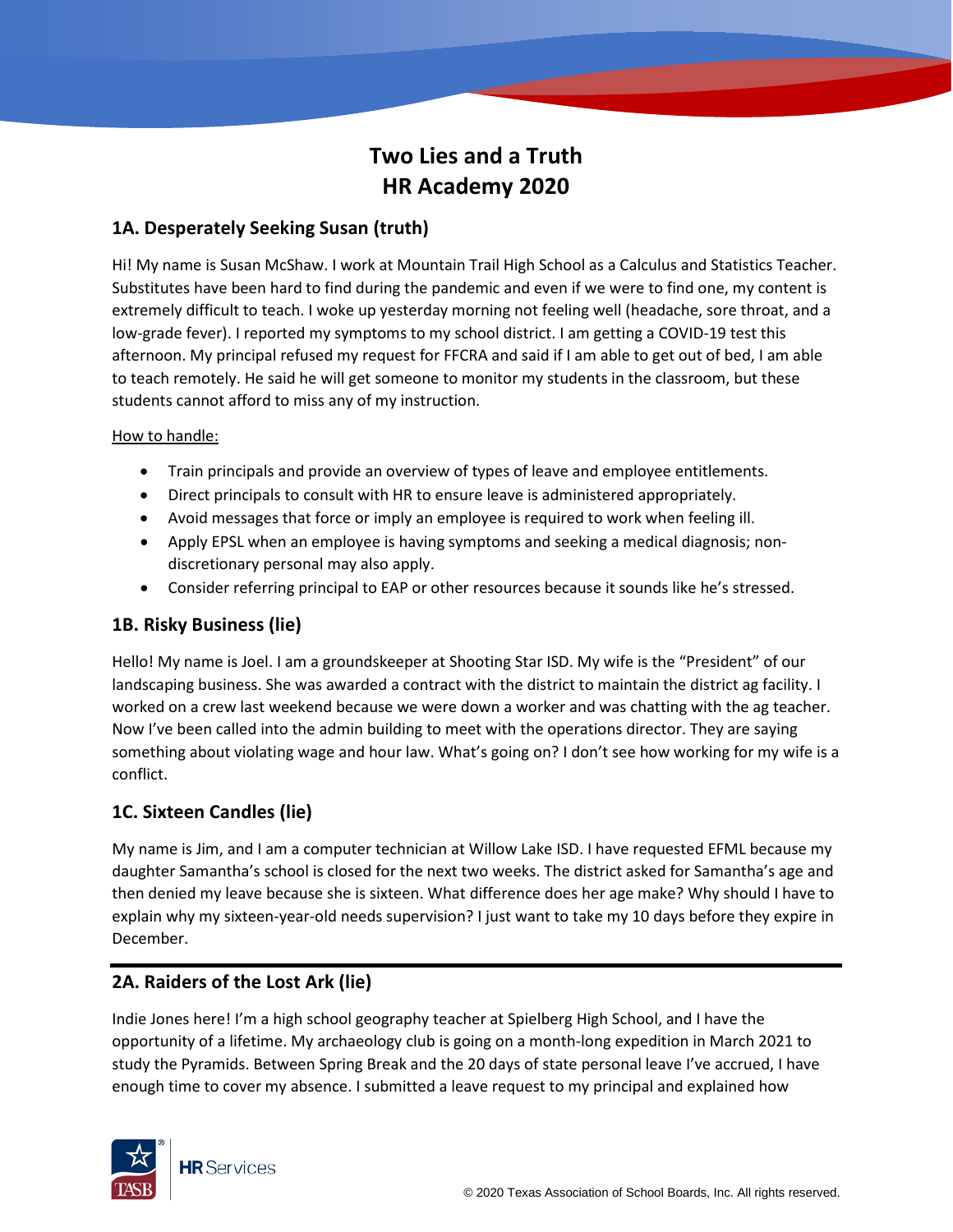# **Two Lies and a Truth HR Academy 2020**

# **1A. Desperately Seeking Susan (truth)**

Hi! My name is Susan McShaw. I work at Mountain Trail High School as a Calculus and Statistics Teacher. Substitutes have been hard to find during the pandemic and even if we were to find one, my content is extremely difficult to teach. I woke up yesterday morning not feeling well (headache, sore throat, and a low-grade fever). I reported my symptoms to my school district. I am getting a COVID-19 test this afternoon. My principal refused my request for FFCRA and said if I am able to get out of bed, I am able to teach remotely. He said he will get someone to monitor my students in the classroom, but these students cannot afford to miss any of my instruction.

#### How to handle:

- Train principals and provide an overview of types of leave and employee entitlements.
- Direct principals to consult with HR to ensure leave is administered appropriately.
- Avoid messages that force or imply an employee is required to work when feeling ill.
- Apply EPSL when an employee is having symptoms and seeking a medical diagnosis; nondiscretionary personal may also apply.
- Consider referring principal to EAP or other resources because it sounds like he's stressed.

### **1B. Risky Business (lie)**

Hello! My name is Joel. I am a groundskeeper at Shooting Star ISD. My wife is the "President" of our landscaping business. She was awarded a contract with the district to maintain the district ag facility. I worked on a crew last weekend because we were down a worker and was chatting with the ag teacher. Now I've been called into the admin building to meet with the operations director. They are saying something about violating wage and hour law. What's going on? I don't see how working for my wife is a conflict.

#### **1C. Sixteen Candles (lie)**

My name is Jim, and I am a computer technician at Willow Lake ISD. I have requested EFML because my daughter Samantha's school is closed for the next two weeks. The district asked for Samantha's age and then denied my leave because she is sixteen. What difference does her age make? Why should I have to explain why my sixteen-year-old needs supervision? I just want to take my 10 days before they expire in December.

#### **2A. Raiders of the Lost Ark (lie)**

Indie Jones here! I'm a high school geography teacher at Spielberg High School, and I have the opportunity of a lifetime. My archaeology club is going on a month-long expedition in March 2021 to study the Pyramids. Between Spring Break and the 20 days of state personal leave I've accrued, I have enough time to cover my absence. I submitted a leave request to my principal and explained how

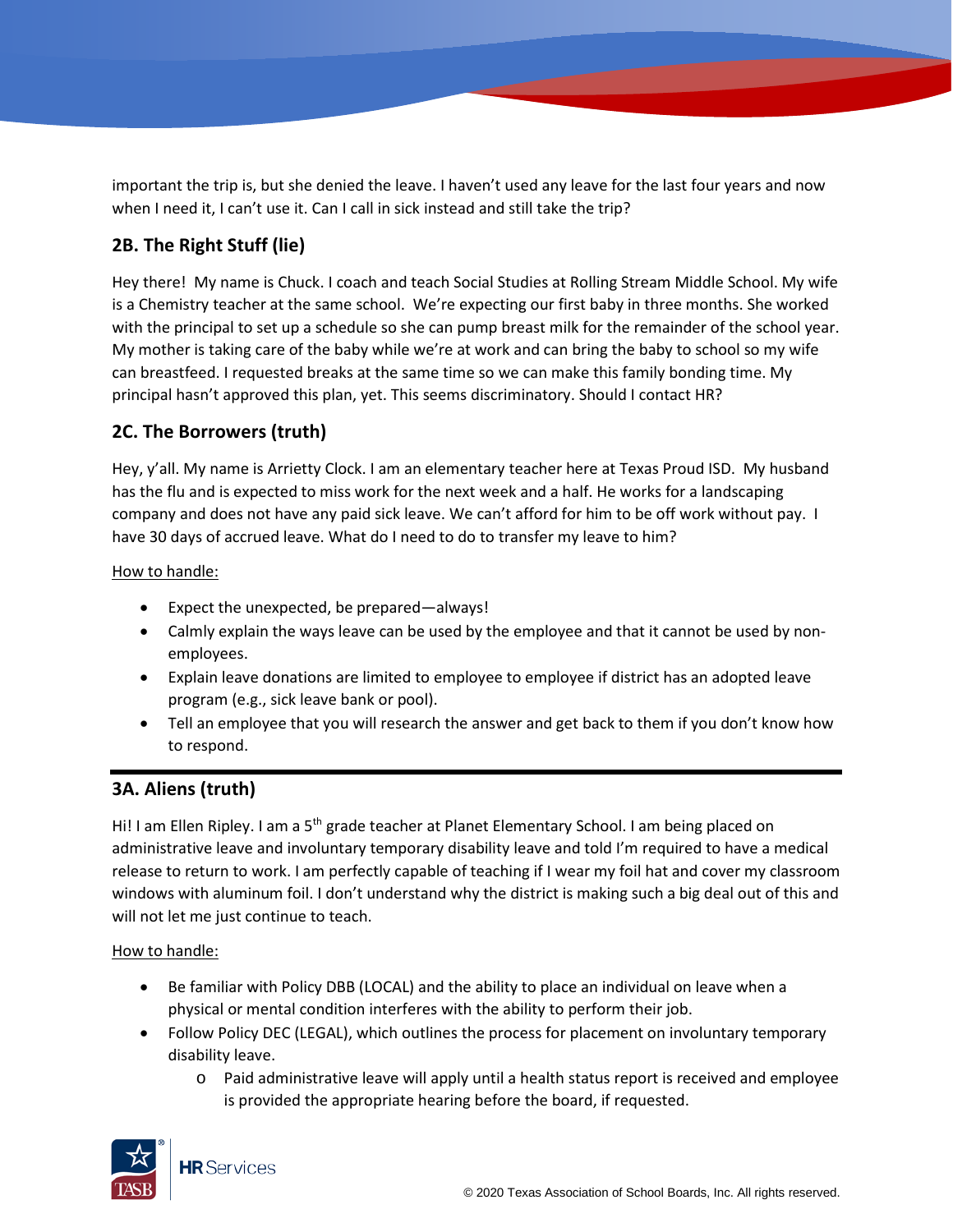important the trip is, but she denied the leave. I haven't used any leave for the last four years and now when I need it, I can't use it. Can I call in sick instead and still take the trip?

# **2B. The Right Stuff (lie)**

Hey there! My name is Chuck. I coach and teach Social Studies at Rolling Stream Middle School. My wife is a Chemistry teacher at the same school. We're expecting our first baby in three months. She worked with the principal to set up a schedule so she can pump breast milk for the remainder of the school year. My mother is taking care of the baby while we're at work and can bring the baby to school so my wife can breastfeed. I requested breaks at the same time so we can make this family bonding time. My principal hasn't approved this plan, yet. This seems discriminatory. Should I contact HR?

## **2C. The Borrowers (truth)**

Hey, y'all. My name is Arrietty Clock. I am an elementary teacher here at Texas Proud ISD. My husband has the flu and is expected to miss work for the next week and a half. He works for a landscaping company and does not have any paid sick leave. We can't afford for him to be off work without pay. I have 30 days of accrued leave. What do I need to do to transfer my leave to him?

How to handle:

- Expect the unexpected, be prepared—always!
- Calmly explain the ways leave can be used by the employee and that it cannot be used by nonemployees.
- Explain leave donations are limited to employee to employee if district has an adopted leave program (e.g., sick leave bank or pool).
- Tell an employee that you will research the answer and get back to them if you don't know how to respond.

## **3A. Aliens (truth)**

Hi! I am Ellen Ripley. I am a 5<sup>th</sup> grade teacher at Planet Elementary School. I am being placed on administrative leave and involuntary temporary disability leave and told I'm required to have a medical release to return to work. I am perfectly capable of teaching if I wear my foil hat and cover my classroom windows with aluminum foil. I don't understand why the district is making such a big deal out of this and will not let me just continue to teach.

#### How to handle:

- Be familiar with Policy DBB (LOCAL) and the ability to place an individual on leave when a physical or mental condition interferes with the ability to perform their job.
- Follow Policy DEC (LEGAL), which outlines the process for placement on involuntary temporary disability leave.
	- o Paid administrative leave will apply until a health status report is received and employee is provided the appropriate hearing before the board, if requested.